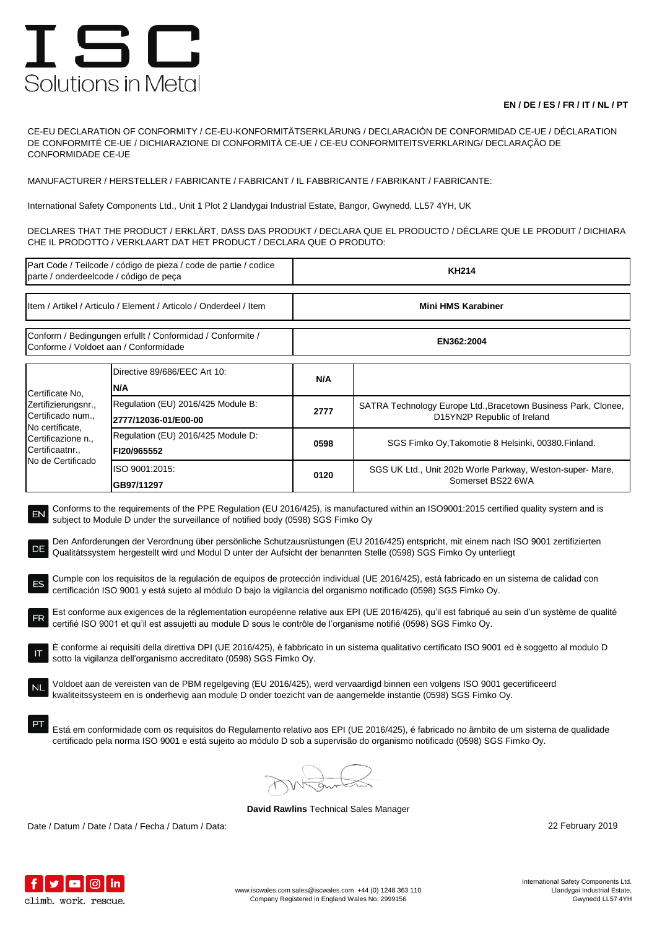## ISC Solutions in Metal

## **EN / DE / ES / FR / IT / NL / PT**

CE-EU DECLARATION OF CONFORMITY / CE-EU-KONFORMITÄTSERKLÄRUNG / DECLARACIÓN DE CONFORMIDAD CE-UE / DÉCLARATION DE CONFORMITÉ CE-UE / DICHIARAZIONE DI CONFORMITÀ CE-UE / CE-EU CONFORMITEITSVERKLARING/ DECLARAÇÃO DE CONFORMIDADE CE-UE

MANUFACTURER / HERSTELLER / FABRICANTE / FABRICANT / IL FABBRICANTE / FABRIKANT / FABRICANTE:

International Safety Components Ltd., Unit 1 Plot 2 Llandygai Industrial Estate, Bangor, Gwynedd, LL57 4YH, UK

DECLARES THAT THE PRODUCT / ERKLÄRT, DASS DAS PRODUKT / DECLARA QUE EL PRODUCTO / DÉCLARE QUE LE PRODUIT / DICHIARA CHE IL PRODOTTO / VERKLAART DAT HET PRODUCT / DECLARA QUE O PRODUTO:

| Part Code / Teilcode / código de pieza / code de partie / codice<br>parte / onderdeelcode / código de peça                                                                                                                                                                                                                                                                                                                                                                                                                                                                                                                                                                                                                                                                                                                                                                                                                                                                                                                                                                                                                                                                                                                                                                                                                                                                                                                                                                                                                                                                                                                                                                                                                                                                                             |                                                            | <b>KH214</b>       |                                                                                               |  |  |
|--------------------------------------------------------------------------------------------------------------------------------------------------------------------------------------------------------------------------------------------------------------------------------------------------------------------------------------------------------------------------------------------------------------------------------------------------------------------------------------------------------------------------------------------------------------------------------------------------------------------------------------------------------------------------------------------------------------------------------------------------------------------------------------------------------------------------------------------------------------------------------------------------------------------------------------------------------------------------------------------------------------------------------------------------------------------------------------------------------------------------------------------------------------------------------------------------------------------------------------------------------------------------------------------------------------------------------------------------------------------------------------------------------------------------------------------------------------------------------------------------------------------------------------------------------------------------------------------------------------------------------------------------------------------------------------------------------------------------------------------------------------------------------------------------------|------------------------------------------------------------|--------------------|-----------------------------------------------------------------------------------------------|--|--|
| Item / Artikel / Articulo / Element / Articolo / Onderdeel / Item                                                                                                                                                                                                                                                                                                                                                                                                                                                                                                                                                                                                                                                                                                                                                                                                                                                                                                                                                                                                                                                                                                                                                                                                                                                                                                                                                                                                                                                                                                                                                                                                                                                                                                                                      |                                                            | Mini HMS Karabiner |                                                                                               |  |  |
| Conform / Bedingungen erfullt / Conformidad / Conformite /<br>Conforme / Voldoet aan / Conformidade                                                                                                                                                                                                                                                                                                                                                                                                                                                                                                                                                                                                                                                                                                                                                                                                                                                                                                                                                                                                                                                                                                                                                                                                                                                                                                                                                                                                                                                                                                                                                                                                                                                                                                    |                                                            | EN362:2004         |                                                                                               |  |  |
| Certificate No.<br>Zertifizierungsnr.,<br>Certificado num.,<br>No certificate,<br>Certificazione n.,<br>Certificaatnr.,<br>No de Certificado                                                                                                                                                                                                                                                                                                                                                                                                                                                                                                                                                                                                                                                                                                                                                                                                                                                                                                                                                                                                                                                                                                                                                                                                                                                                                                                                                                                                                                                                                                                                                                                                                                                           | Directive 89/686/EEC Art 10:<br>N/A                        | N/A                |                                                                                               |  |  |
|                                                                                                                                                                                                                                                                                                                                                                                                                                                                                                                                                                                                                                                                                                                                                                                                                                                                                                                                                                                                                                                                                                                                                                                                                                                                                                                                                                                                                                                                                                                                                                                                                                                                                                                                                                                                        | Regulation (EU) 2016/425 Module B:<br>2777/12036-01/E00-00 | 2777               | SATRA Technology Europe Ltd., Bracetown Business Park, Clonee,<br>D15YN2P Republic of Ireland |  |  |
|                                                                                                                                                                                                                                                                                                                                                                                                                                                                                                                                                                                                                                                                                                                                                                                                                                                                                                                                                                                                                                                                                                                                                                                                                                                                                                                                                                                                                                                                                                                                                                                                                                                                                                                                                                                                        | Regulation (EU) 2016/425 Module D:<br>FI20/965552          | 0598               | SGS Fimko Oy, Takomotie 8 Helsinki, 00380. Finland.                                           |  |  |
|                                                                                                                                                                                                                                                                                                                                                                                                                                                                                                                                                                                                                                                                                                                                                                                                                                                                                                                                                                                                                                                                                                                                                                                                                                                                                                                                                                                                                                                                                                                                                                                                                                                                                                                                                                                                        | ISO 9001:2015:<br>GB97/11297                               | 0120               | SGS UK Ltd., Unit 202b Worle Parkway, Weston-super- Mare,<br>Somerset BS22 6WA                |  |  |
| Conforms to the requirements of the PPE Regulation (EU 2016/425), is manufactured within an ISO9001:2015 certified quality system and is<br>EN<br>subject to Module D under the surveillance of notified body (0598) SGS Fimko Oy<br>Den Anforderungen der Verordnung über persönliche Schutzausrüstungen (EU 2016/425) entspricht, mit einem nach ISO 9001 zertifizierten<br>DE<br>Qualitätssystem hergestellt wird und Modul D unter der Aufsicht der benannten Stelle (0598) SGS Fimko Oy unterliegt<br>Cumple con los requisitos de la regulación de equipos de protección individual (UE 2016/425), está fabricado en un sistema de calidad con<br>ES<br>certificación ISO 9001 y está sujeto al módulo D bajo la vigilancia del organismo notificado (0598) SGS Fimko Oy.<br>Est conforme aux exigences de la réglementation européenne relative aux EPI (UE 2016/425), qu'il est fabriqué au sein d'un système de qualité<br>certifié ISO 9001 et qu'il est assujetti au module D sous le contrôle de l'organisme notifié (0598) SGS Fimko Oy.<br>È conforme ai requisiti della direttiva DPI (UE 2016/425), è fabbricato in un sistema qualitativo certificato ISO 9001 ed è soggetto al modulo D<br>sotto la vigilanza dell'organismo accreditato (0598) SGS Fimko Oy.<br>Voldoet aan de vereisten van de PBM regelgeving (EU 2016/425), werd vervaardigd binnen een volgens ISO 9001 gecertificeerd<br>kwaliteitssysteem en is onderhevig aan module D onder toezicht van de aangemelde instantie (0598) SGS Fimko Oy.<br>Está em conformidade com os requisitos do Regulamento relativo aos EPI (UE 2016/425), é fabricado no âmbito de um sistema de qualidade<br>certificado pela norma ISO 9001 e está sujeito ao módulo D sob a supervisão do organismo notificado (0598) SGS Fimko Oy. |                                                            |                    |                                                                                               |  |  |
|                                                                                                                                                                                                                                                                                                                                                                                                                                                                                                                                                                                                                                                                                                                                                                                                                                                                                                                                                                                                                                                                                                                                                                                                                                                                                                                                                                                                                                                                                                                                                                                                                                                                                                                                                                                                        |                                                            |                    |                                                                                               |  |  |

**David Rawlins** Technical Sales Manager

Date / Datum / Date / Data / Fecha / Datum / Data: 22 February 2019